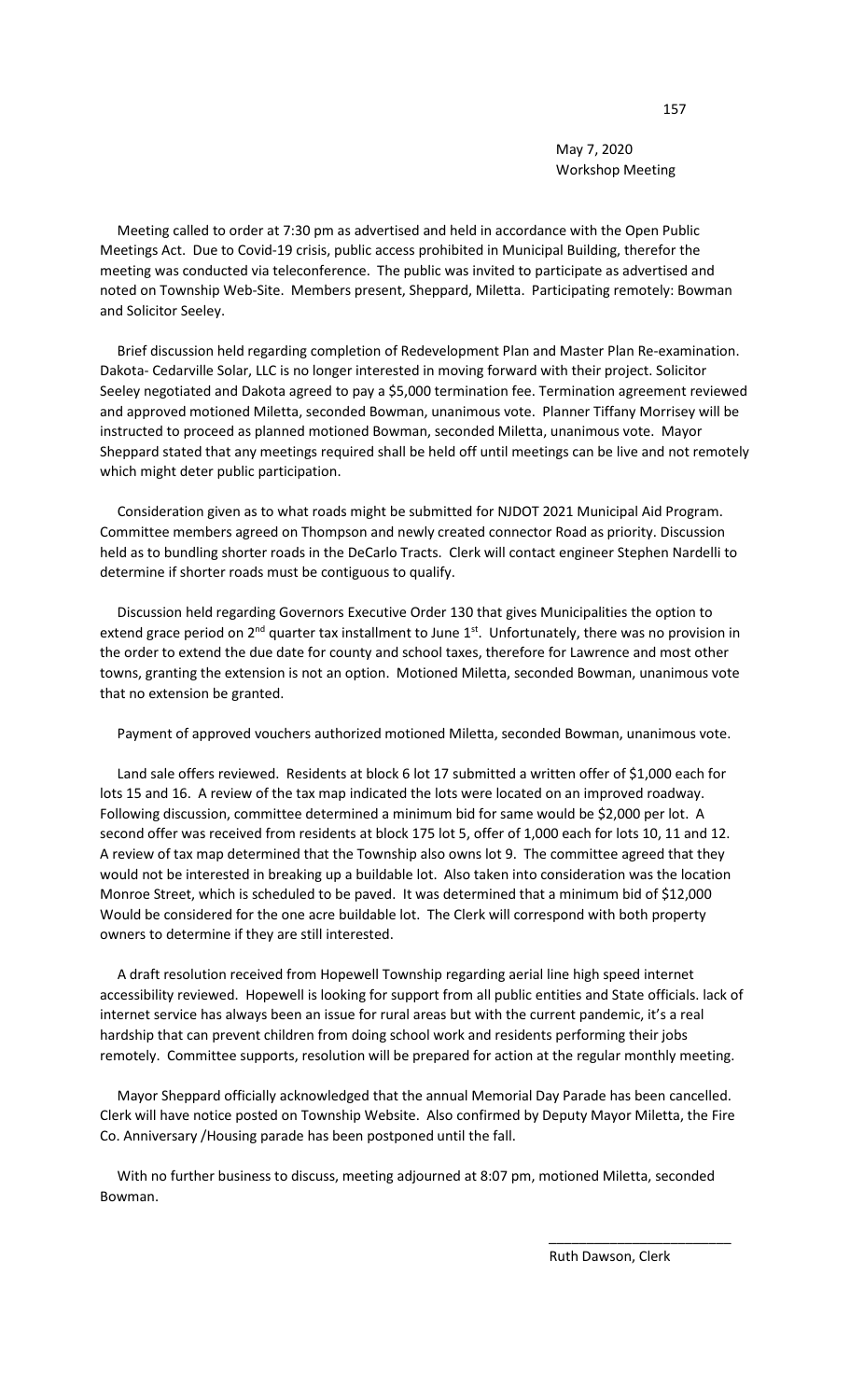May 7, 2020 Workshop Meeting

 Meeting called to order at 7:30 pm as advertised and held in accordance with the Open Public Meetings Act. Due to Covid-19 crisis, public access prohibited in Municipal Building, therefor the meeting was conducted via teleconference. The public was invited to participate as advertised and noted on Township Web-Site. Members present, Sheppard, Miletta. Participating remotely: Bowman and Solicitor Seeley.

 Brief discussion held regarding completion of Redevelopment Plan and Master Plan Re-examination. Dakota- Cedarville Solar, LLC is no longer interested in moving forward with their project. Solicitor Seeley negotiated and Dakota agreed to pay a \$5,000 termination fee. Termination agreement reviewed and approved motioned Miletta, seconded Bowman, unanimous vote. Planner Tiffany Morrisey will be instructed to proceed as planned motioned Bowman, seconded Miletta, unanimous vote. Mayor Sheppard stated that any meetings required shall be held off until meetings can be live and not remotely which might deter public participation.

 Consideration given as to what roads might be submitted for NJDOT 2021 Municipal Aid Program. Committee members agreed on Thompson and newly created connector Road as priority. Discussion held as to bundling shorter roads in the DeCarlo Tracts. Clerk will contact engineer Stephen Nardelli to determine if shorter roads must be contiguous to qualify.

 Discussion held regarding Governors Executive Order 130 that gives Municipalities the option to extend grace period on 2<sup>nd</sup> quarter tax installment to June 1<sup>st</sup>. Unfortunately, there was no provision in the order to extend the due date for county and school taxes, therefore for Lawrence and most other towns, granting the extension is not an option. Motioned Miletta, seconded Bowman, unanimous vote that no extension be granted.

Payment of approved vouchers authorized motioned Miletta, seconded Bowman, unanimous vote.

 Land sale offers reviewed. Residents at block 6 lot 17 submitted a written offer of \$1,000 each for lots 15 and 16. A review of the tax map indicated the lots were located on an improved roadway. Following discussion, committee determined a minimum bid for same would be \$2,000 per lot. A second offer was received from residents at block 175 lot 5, offer of 1,000 each for lots 10, 11 and 12. A review of tax map determined that the Township also owns lot 9. The committee agreed that they would not be interested in breaking up a buildable lot. Also taken into consideration was the location Monroe Street, which is scheduled to be paved. It was determined that a minimum bid of \$12,000 Would be considered for the one acre buildable lot. The Clerk will correspond with both property owners to determine if they are still interested.

 A draft resolution received from Hopewell Township regarding aerial line high speed internet accessibility reviewed. Hopewell is looking for support from all public entities and State officials. lack of internet service has always been an issue for rural areas but with the current pandemic, it's a real hardship that can prevent children from doing school work and residents performing their jobs remotely. Committee supports, resolution will be prepared for action at the regular monthly meeting.

 Mayor Sheppard officially acknowledged that the annual Memorial Day Parade has been cancelled. Clerk will have notice posted on Township Website. Also confirmed by Deputy Mayor Miletta, the Fire Co. Anniversary /Housing parade has been postponed until the fall.

 With no further business to discuss, meeting adjourned at 8:07 pm, motioned Miletta, seconded Bowman.

 $\overline{\phantom{a}}$  , and the contract of the contract of the contract of the contract of the contract of the contract of the contract of the contract of the contract of the contract of the contract of the contract of the contrac

Ruth Dawson, Clerk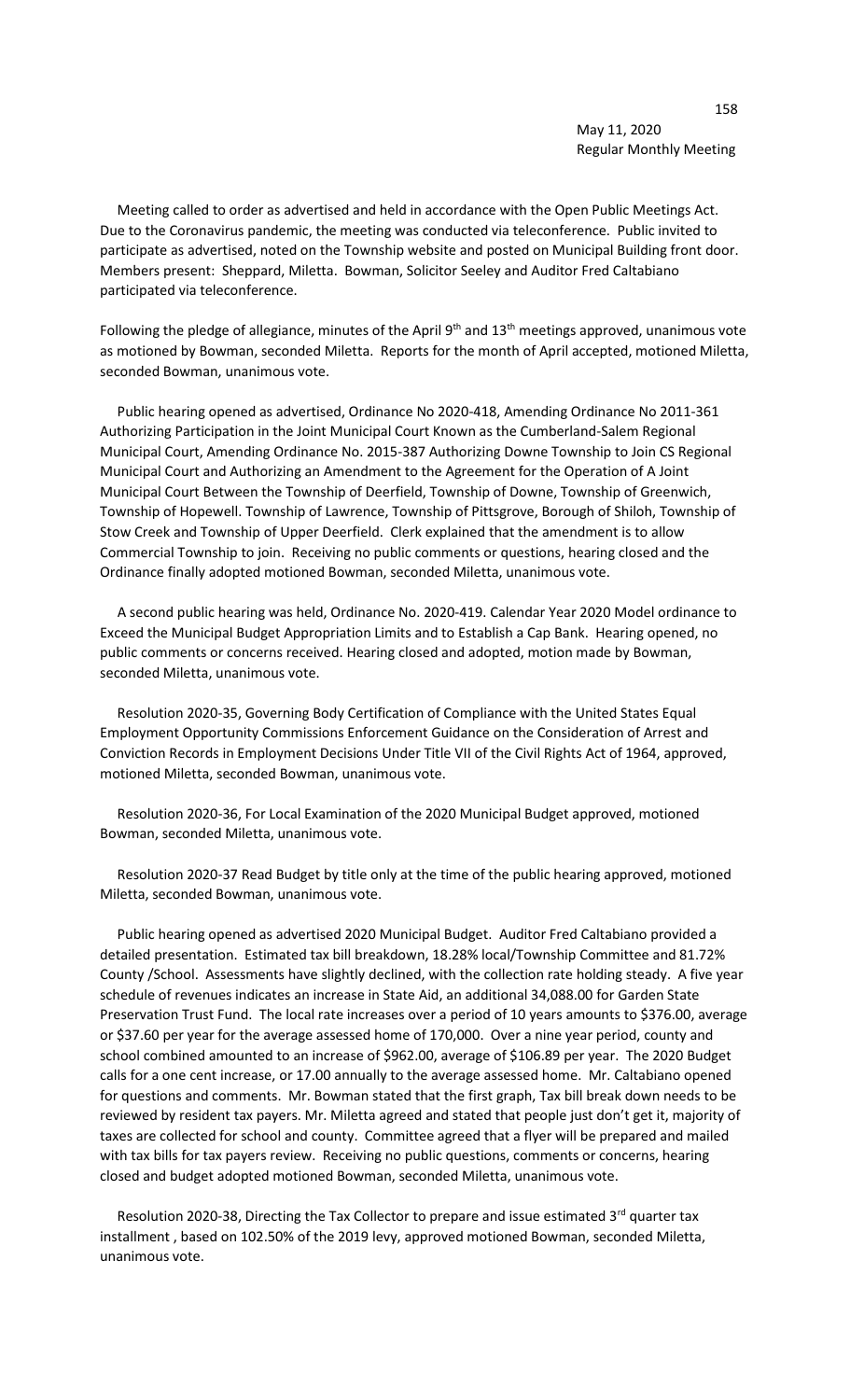## 158 May 11, 2020 Regular Monthly Meeting

 Meeting called to order as advertised and held in accordance with the Open Public Meetings Act. Due to the Coronavirus pandemic, the meeting was conducted via teleconference. Public invited to participate as advertised, noted on the Township website and posted on Municipal Building front door. Members present: Sheppard, Miletta. Bowman, Solicitor Seeley and Auditor Fred Caltabiano participated via teleconference.

Following the pledge of allegiance, minutes of the April 9<sup>th</sup> and 13<sup>th</sup> meetings approved, unanimous vote as motioned by Bowman, seconded Miletta. Reports for the month of April accepted, motioned Miletta, seconded Bowman, unanimous vote.

 Public hearing opened as advertised, Ordinance No 2020-418, Amending Ordinance No 2011-361 Authorizing Participation in the Joint Municipal Court Known as the Cumberland-Salem Regional Municipal Court, Amending Ordinance No. 2015-387 Authorizing Downe Township to Join CS Regional Municipal Court and Authorizing an Amendment to the Agreement for the Operation of A Joint Municipal Court Between the Township of Deerfield, Township of Downe, Township of Greenwich, Township of Hopewell. Township of Lawrence, Township of Pittsgrove, Borough of Shiloh, Township of Stow Creek and Township of Upper Deerfield. Clerk explained that the amendment is to allow Commercial Township to join. Receiving no public comments or questions, hearing closed and the Ordinance finally adopted motioned Bowman, seconded Miletta, unanimous vote.

 A second public hearing was held, Ordinance No. 2020-419. Calendar Year 2020 Model ordinance to Exceed the Municipal Budget Appropriation Limits and to Establish a Cap Bank. Hearing opened, no public comments or concerns received. Hearing closed and adopted, motion made by Bowman, seconded Miletta, unanimous vote.

 Resolution 2020-35, Governing Body Certification of Compliance with the United States Equal Employment Opportunity Commissions Enforcement Guidance on the Consideration of Arrest and Conviction Records in Employment Decisions Under Title VII of the Civil Rights Act of 1964, approved, motioned Miletta, seconded Bowman, unanimous vote.

 Resolution 2020-36, For Local Examination of the 2020 Municipal Budget approved, motioned Bowman, seconded Miletta, unanimous vote.

 Resolution 2020-37 Read Budget by title only at the time of the public hearing approved, motioned Miletta, seconded Bowman, unanimous vote.

 Public hearing opened as advertised 2020 Municipal Budget. Auditor Fred Caltabiano provided a detailed presentation. Estimated tax bill breakdown, 18.28% local/Township Committee and 81.72% County /School. Assessments have slightly declined, with the collection rate holding steady. A five year schedule of revenues indicates an increase in State Aid, an additional 34,088.00 for Garden State Preservation Trust Fund. The local rate increases over a period of 10 years amounts to \$376.00, average or \$37.60 per year for the average assessed home of 170,000. Over a nine year period, county and school combined amounted to an increase of \$962.00, average of \$106.89 per year. The 2020 Budget calls for a one cent increase, or 17.00 annually to the average assessed home. Mr. Caltabiano opened for questions and comments. Mr. Bowman stated that the first graph, Tax bill break down needs to be reviewed by resident tax payers. Mr. Miletta agreed and stated that people just don't get it, majority of taxes are collected for school and county. Committee agreed that a flyer will be prepared and mailed with tax bills for tax payers review. Receiving no public questions, comments or concerns, hearing closed and budget adopted motioned Bowman, seconded Miletta, unanimous vote.

Resolution 2020-38, Directing the Tax Collector to prepare and issue estimated  $3<sup>rd</sup>$  quarter tax installment , based on 102.50% of the 2019 levy, approved motioned Bowman, seconded Miletta, unanimous vote.